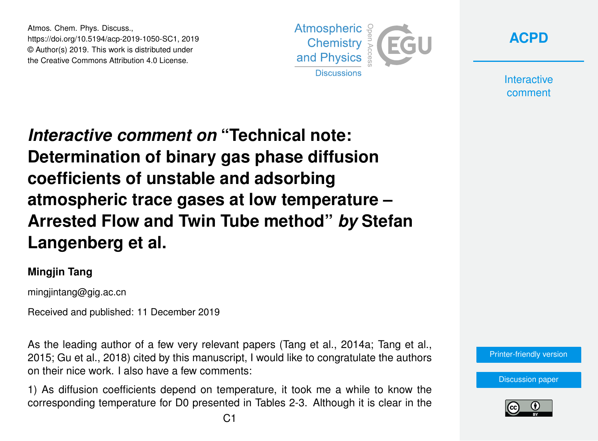Atmos. Chem. Phys. Discuss., https://doi.org/10.5194/acp-2019-1050-SC1, 2019 © Author(s) 2019. This work is distributed under the Creative Commons Attribution 4.0 License.



**[ACPD](https://www.atmos-chem-phys-discuss.net/)**

**Interactive** comment

*Interactive comment on* **"Technical note: Determination of binary gas phase diffusion coefficients of unstable and adsorbing atmospheric trace gases at low temperature – Arrested Flow and Twin Tube method"** *by* **Stefan Langenberg et al.**

## **Mingjin Tang**

mingjintang@gig.ac.cn

Received and published: 11 December 2019

As the leading author of a few very relevant papers (Tang et al., 2014a; Tang et al., 2015; Gu et al., 2018) cited by this manuscript, I would like to congratulate the authors on their nice work. I also have a few comments:

1) As diffusion coefficients depend on temperature, it took me a while to know the corresponding temperature for D0 presented in Tables 2-3. Although it is clear in the

[Printer-friendly version](https://www.atmos-chem-phys-discuss.net/acp-2019-1050/acp-2019-1050-SC1-print.pdf)

[Discussion paper](https://www.atmos-chem-phys-discuss.net/acp-2019-1050)